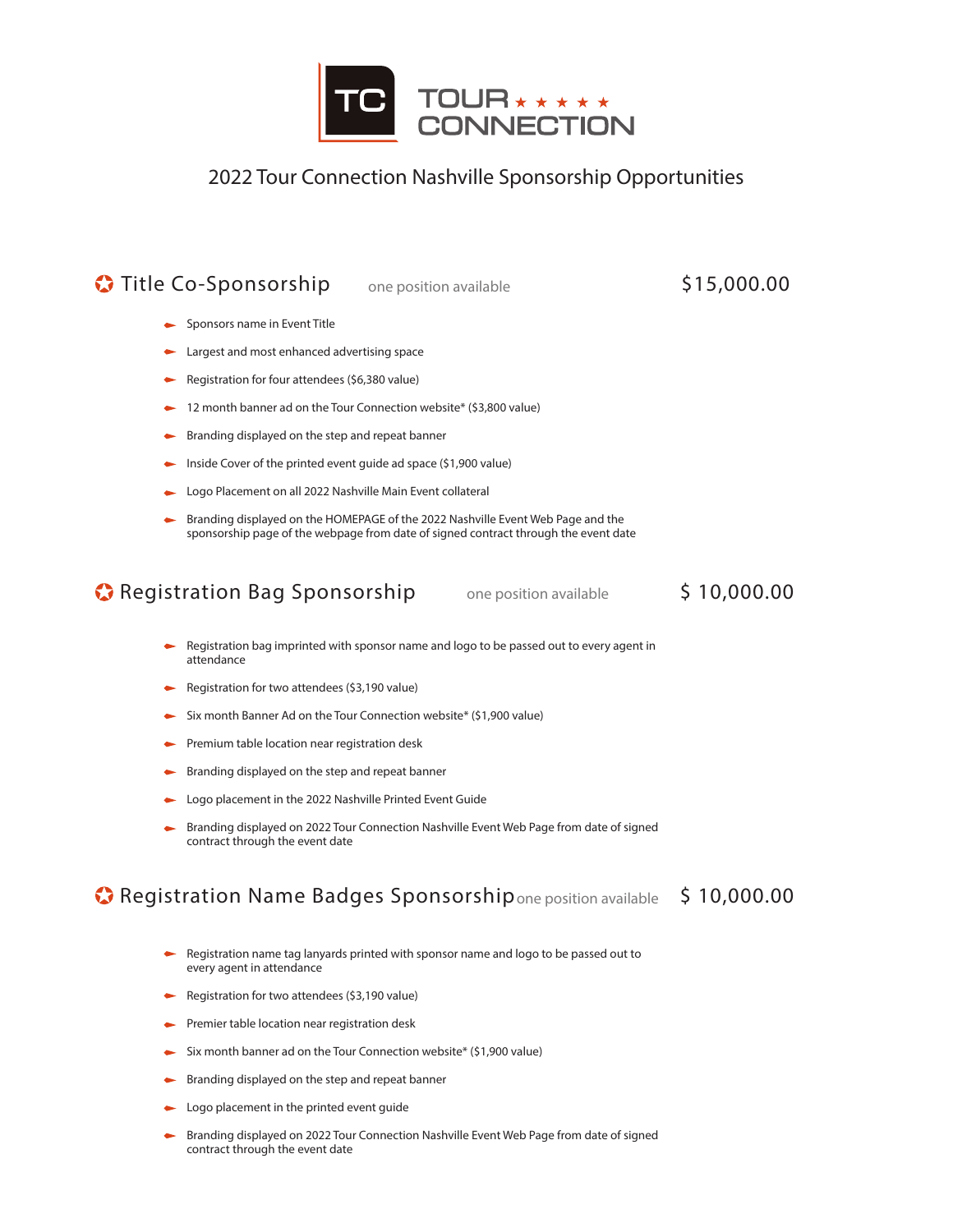

## 2022 Tour Connection Nashville Sponsorship Opportunities

# **Title Co-Sponsorship** one position available \$15,000.00

- Sponsors name in Event Title
- **Largest and most enhanced advertising space**
- Registration for four attendees (\$6,380 value)
- $\blacktriangleright$  12 month banner ad on the Tour Connection website\* (\$3,800 value)
- **Branding displayed on the step and repeat banner**
- Inside Cover of the printed event guide ad space (\$1,900 value)
- Logo Placement on all 2022 Nashville Main Event collateral
- Branding displayed on the HOMEPAGE of the 2022 Nashville Event Web Page and the sponsorship page of the webpage from date of signed contract through the event date

## **C** Registration Bag Sponsorship one position available \$ 10,000.00

- Registration bag imprinted with sponsor name and logo to be passed out to every agent in attendance
- Registration for two attendees (\$3,190 value)
- $\blacktriangleright$  Six month Banner Ad on the Tour Connection website\* (\$1,900 value)
- **Premium table location near registration desk**
- **Branding displayed on the step and repeat banner**
- ► Logo placement in the 2022 Nashville Printed Event Guide
- Branding displayed on 2022 Tour Connection Nashville Event Web Page from date of signed contract through the event date

## **C** Registration Name Badges Sponsorship one position available \$10,000.00

- Registration name tag lanyards printed with sponsor name and logo to be passed out to every agent in attendance
- Registration for two attendees (\$3,190 value)
- **Premier table location near registration desk**
- Six month banner ad on the Tour Connection website\* (\$1,900 value)
- Branding displayed on the step and repeat banner
- Logo placement in the printed event guide
- **Branding displayed on 2022 Tour Connection Nashville Event Web Page from date of signed** contract through the event date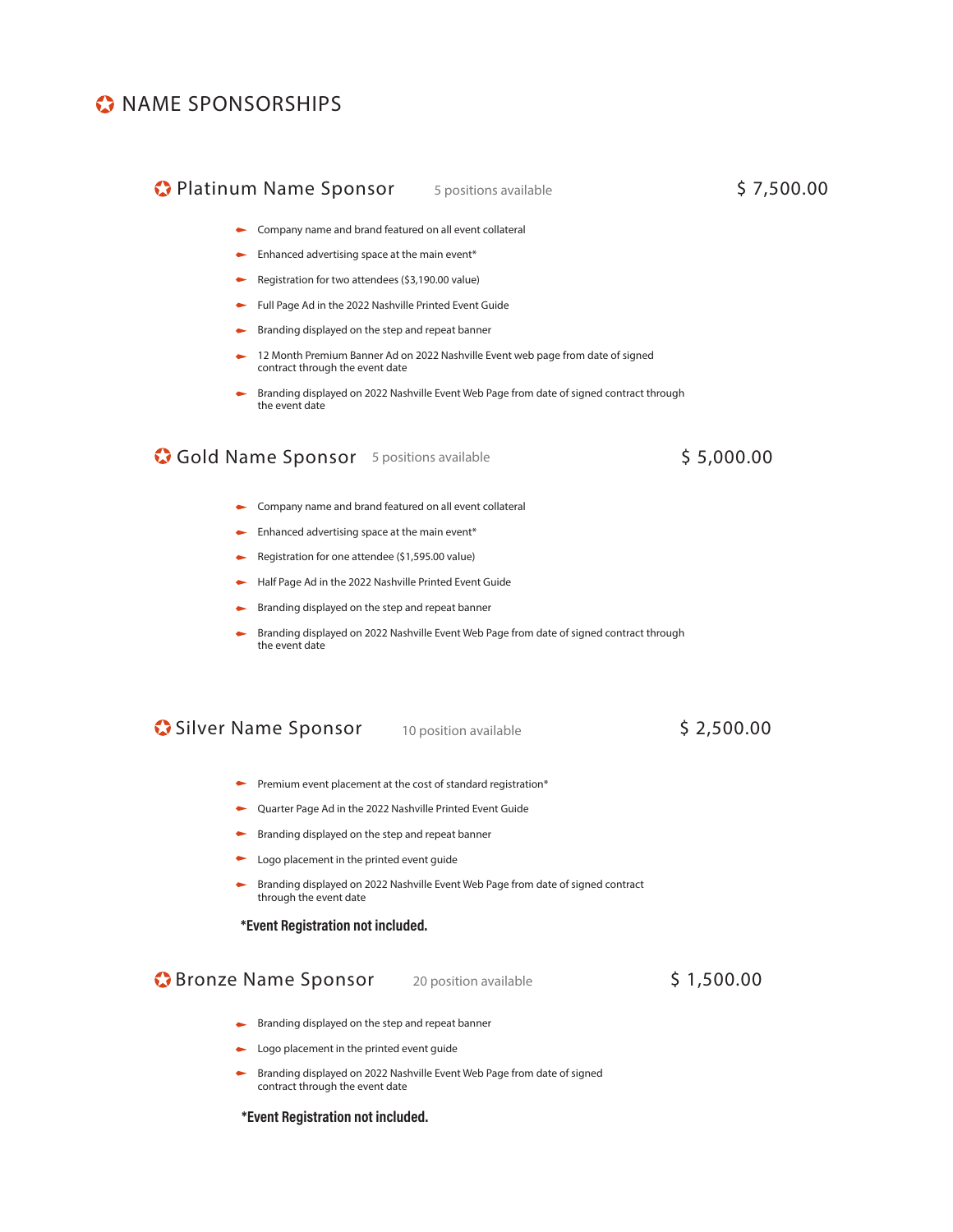## **C** NAME SPONSORSHIPS

# **C** Platinum Name Sponsor 5 positions available \$ 7,500.00

- Company name and brand featured on all event collateral
- $\blacktriangleright$  Enhanced advertising space at the main event\*
- Registration for two attendees (\$3,190.00 value)
- Full Page Ad in the 2022 Nashville Printed Event Guide
- Branding displayed on the step and repeat banner  $\bullet$
- 12 Month Premium Banner Ad on 2022 Nashville Event web page from date of signed contract through the event date
- Branding displayed on 2022 Nashville Event Web Page from date of signed contract through the event date

## **Gold Name Sponsor** 5 positions available \$5,000.00

- Company name and brand featured on all event collateral
- $\leftarrow$  Enhanced advertising space at the main event\*
- Registration for one attendee (\$1,595.00 value)
- Half Page Ad in the 2022 Nashville Printed Event Guide
- Branding displayed on the step and repeat banner
- Branding displayed on 2022 Nashville Event Web Page from date of signed contract through the event date

**Silver Name Sponsor** 10 position available \$ 2,500.00

- Premium event placement at the cost of standard registration\*
- Quarter Page Ad in the 2022 Nashville Printed Event Guide
- Branding displayed on the step and repeat banner
- Logo placement in the printed event guide
- Branding displayed on 2022 Nashville Event Web Page from date of signed contract  $\bullet$ through the event date

### \*Event Registration not included.

**Bronze Name Sponsor** 20 position available \$ 1,500.00

- Branding displayed on the step and repeat banner
- Logo placement in the printed event guide
- Branding displayed on 2022 Nashville Event Web Page from date of signed contract through the event date

### \*Event Registration not included.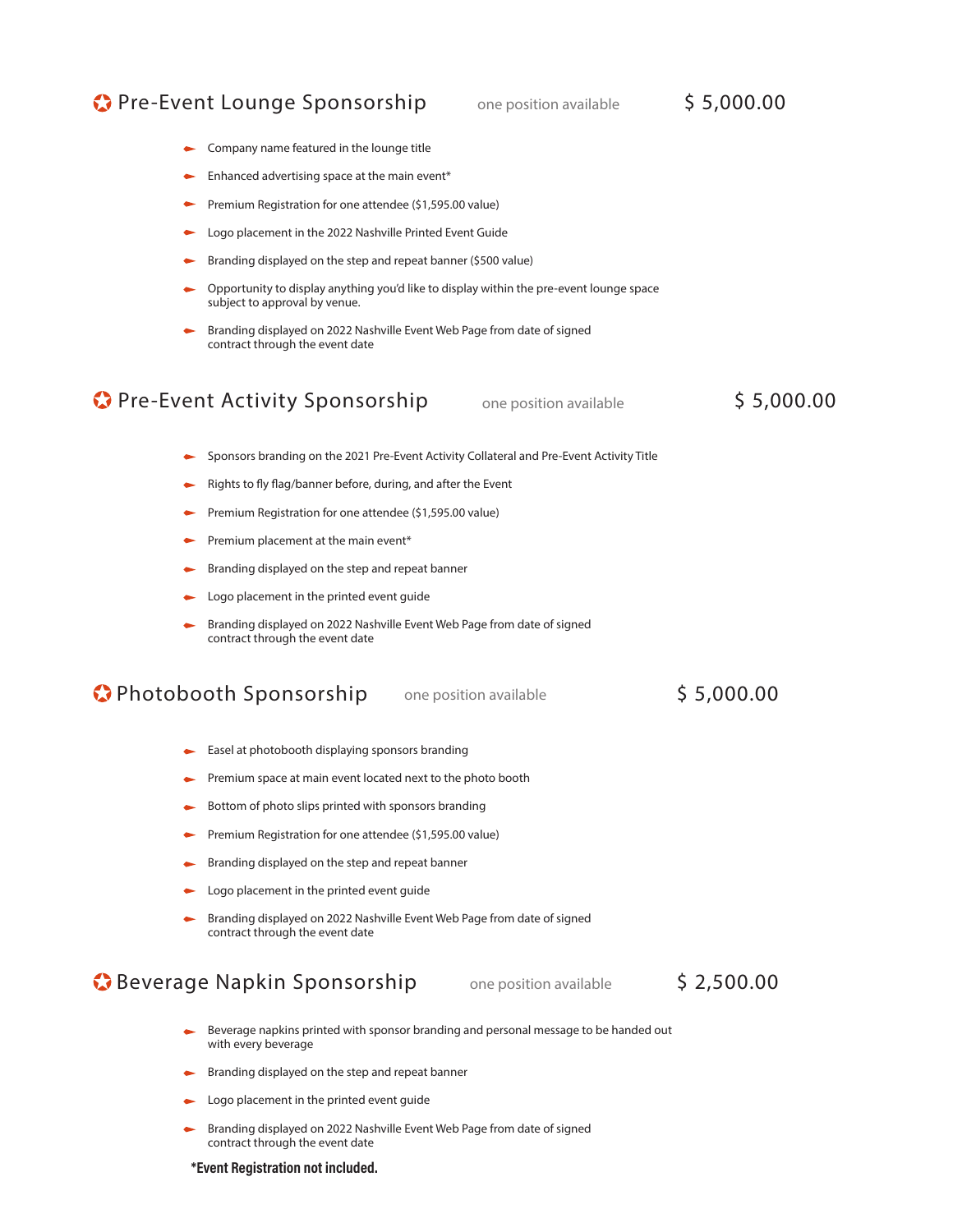## **Pre-Event Lounge Sponsorship** one position available \$ 5,000.00

Company name featured in the lounge title

- Enhanced advertising space at the main event\* Premium Registration for one attendee (\$1,595.00 value) Logo placement in the 2022 Nashville Printed Event Guide Branding displayed on the step and repeat banner (\$500 value) Opportunity to display anything you'd like to display within the pre-event lounge space subject to approval by venue. Branding displayed on 2022 Nashville Event Web Page from date of signed contract through the event date Sponsors branding on the 2021 Pre-Event Activity Collateral and Pre-Event Activity Title Rights to fly flag/banner before, during, and after the Event Premium Registration for one attendee (\$1,595.00 value) Premium placement at the main event\* Branding displayed on the step and repeat banner Logo placement in the printed event guide Branding displayed on 2022 Nashville Event Web Page from date of signed contract through the event date Easel at photobooth displaying sponsors branding Premium space at main event located next to the photo booth Bottom of photo slips printed with sponsors branding Premium Registration for one attendee (\$1,595.00 value) Branding displayed on the step and repeat banner Logo placement in the printed event guide Branding displayed on 2022 Nashville Event Web Page from date of signed contract through the event date Beverage napkins printed with sponsor branding and personal message to be handed out with every beverage **Pre-Event Activity Sponsorship** one position available \$ 5,000.00 **Photobooth Sponsorship** one position available \$ 5,000.00 **Beverage Napkin Sponsorship** one position available \$ 2,500.00
	- **Branding displayed on the step and repeat banner**
	- Logo placement in the printed event guide
	- Branding displayed on 2022 Nashville Event Web Page from date of signed contract through the event date

#### \*Event Registration not included.